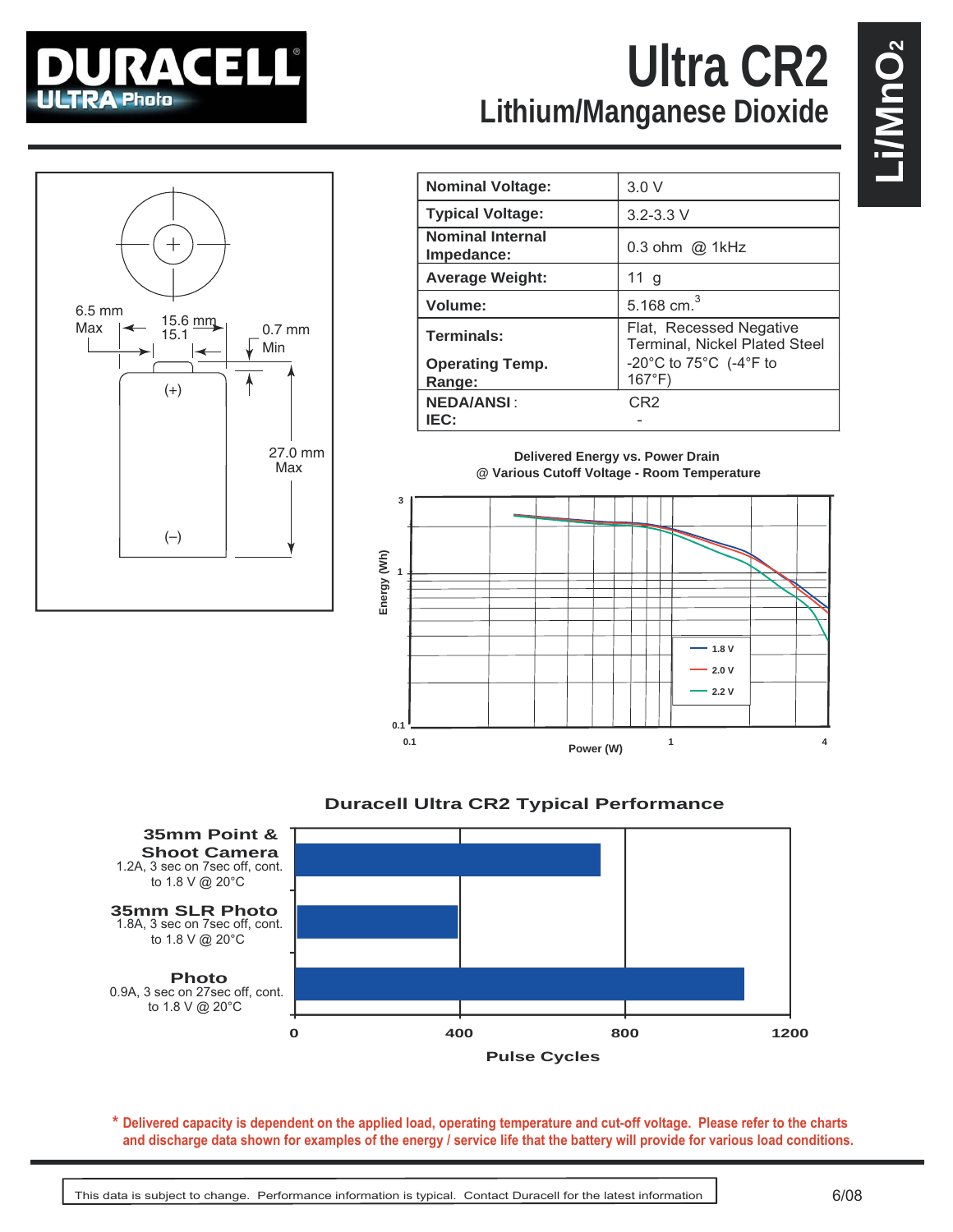

## **Lithium/Manganese Dioxide Ultra CR2**



| <b>Nominal Voltage:</b>               | 3.0V                                                                      |
|---------------------------------------|---------------------------------------------------------------------------|
| <b>Typical Voltage:</b>               | $3.2 - 3.3$ V                                                             |
| <b>Nominal Internal</b><br>Impedance: | $0.3$ ohm $\omega$ 1kHz                                                   |
| <b>Average Weight:</b>                | $11$ g                                                                    |
| Volume:                               | 5.168 cm. $^{3}$                                                          |
| Terminals:                            | Flat, Recessed Negative<br>Terminal, Nickel Plated Steel                  |
| <b>Operating Temp.</b><br>Range:      | -20 $^{\circ}$ C to 75 $^{\circ}$ C (-4 $^{\circ}$ F to<br>$167^{\circ}F$ |
| <b>NEDA/ANSI:</b>                     | CR <sub>2</sub>                                                           |
| IEC:                                  |                                                                           |

**Delivered Energy vs. Power Drain @ Various Cutoff Voltage - Room Temperature**







**Delivered capacity is dependent on the applied load, operating temperature and cut-off voltage. Please refer to the charts \* and discharge data shown for examples of the energy / service life that the battery will provide for various load conditions.**